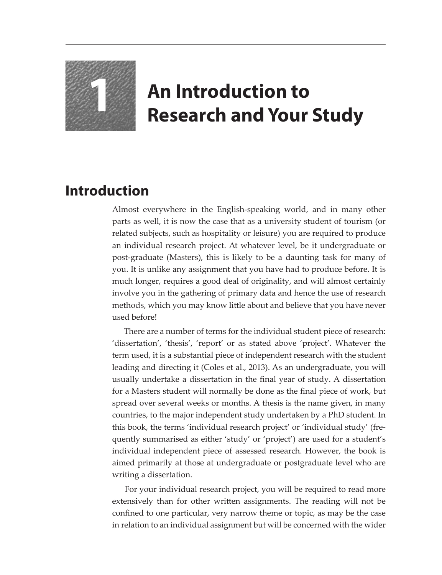

## **1** An Introduction to<br> **Research and Your Study**

## **Introduction**

Almost everywhere in the English-speaking world, and in many other parts as well, it is now the case that as a university student of tourism (or related subjects, such as hospitality or leisure) you are required to produce an individual research project. At whatever level, be it undergraduate or post-graduate (Masters), this is likely to be a daunting task for many of you. It is unlike any assignment that you have had to produce before. It is much longer, requires a good deal of originality, and will almost certainly involve you in the gathering of primary data and hence the use of research methods, which you may know little about and believe that you have never used before!

There are a number of terms for the individual student piece of research: 'dissertation', 'thesis', 'report' or as stated above 'project'. Whatever the term used, it is a substantial piece of independent research with the student leading and directing it (Coles et al., 2013). As an undergraduate, you will usually undertake a dissertation in the final year of study. A dissertation for a Masters student will normally be done as the final piece of work, but spread over several weeks or months. A thesis is the name given, in many countries, to the major independent study undertaken by a PhD student. In this book, the terms 'individual research project' or 'individual study' (frequently summarised as either 'study' or 'project') are used for a student's individual independent piece of assessed research. However, the book is aimed primarily at those at undergraduate or postgraduate level who are writing a dissertation.

For your individual research project, you will be required to read more extensively than for other written assignments. The reading will not be confined to one particular, very narrow theme or topic, as may be the case in relation to an individual assignment but will be concerned with the wider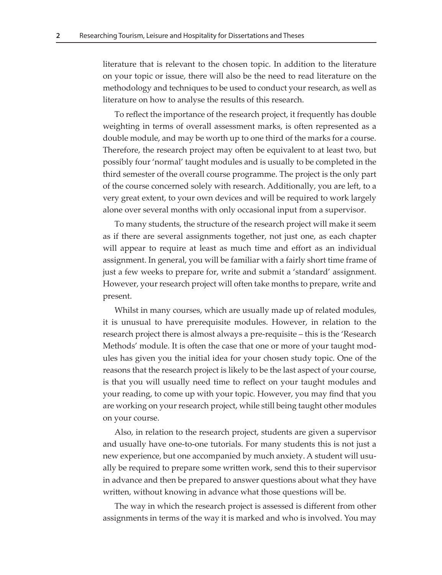literature that is relevant to the chosen topic. In addition to the literature on your topic or issue, there will also be the need to read literature on the methodology and techniques to be used to conduct your research, as well as literature on how to analyse the results of this research.

To reflect the importance of the research project, it frequently has double weighting in terms of overall assessment marks, is often represented as a double module, and may be worth up to one third of the marks for a course. Therefore, the research project may often be equivalent to at least two, but possibly four 'normal' taught modules and is usually to be completed in the third semester of the overall course programme. The project is the only part of the course concerned solely with research. Additionally, you are left, to a very great extent, to your own devices and will be required to work largely alone over several months with only occasional input from a supervisor.

To many students, the structure of the research project will make it seem as if there are several assignments together, not just one, as each chapter will appear to require at least as much time and effort as an individual assignment. In general, you will be familiar with a fairly short time frame of just a few weeks to prepare for, write and submit a 'standard' assignment. However, your research project will often take months to prepare, write and present.

Whilst in many courses, which are usually made up of related modules, it is unusual to have prerequisite modules. However, in relation to the research project there is almost always a pre-requisite – this is the 'Research Methods' module. It is often the case that one or more of your taught modules has given you the initial idea for your chosen study topic. One of the reasons that the research project is likely to be the last aspect of your course, is that you will usually need time to reflect on your taught modules and your reading, to come up with your topic. However, you may find that you are working on your research project, while still being taught other modules on your course.

Also, in relation to the research project, students are given a supervisor and usually have one-to-one tutorials. For many students this is not just a new experience, but one accompanied by much anxiety. A student will usually be required to prepare some written work, send this to their supervisor in advance and then be prepared to answer questions about what they have written, without knowing in advance what those questions will be.

The way in which the research project is assessed is different from other assignments in terms of the way it is marked and who is involved. You may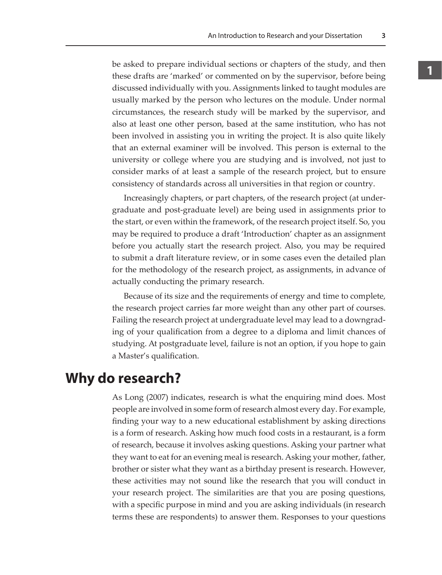be asked to prepare individual sections or chapters of the study, and then these drafts are 'marked' or commented on by the supervisor, before being discussed individually with you. Assignments linked to taught modules are usually marked by the person who lectures on the module. Under normal circumstances, the research study will be marked by the supervisor, and also at least one other person, based at the same institution, who has not been involved in assisting you in writing the project. It is also quite likely that an external examiner will be involved. This person is external to the university or college where you are studying and is involved, not just to consider marks of at least a sample of the research project, but to ensure consistency of standards across all universities in that region or country.

Increasingly chapters, or part chapters, of the research project (at undergraduate and post-graduate level) are being used in assignments prior to the start, or even within the framework, of the research project itself. So, you may be required to produce a draft 'Introduction' chapter as an assignment before you actually start the research project. Also, you may be required to submit a draft literature review, or in some cases even the detailed plan for the methodology of the research project, as assignments, in advance of actually conducting the primary research.

Because of its size and the requirements of energy and time to complete, the research project carries far more weight than any other part of courses. Failing the research project at undergraduate level may lead to a downgrading of your qualification from a degree to a diploma and limit chances of studying. At postgraduate level, failure is not an option, if you hope to gain a Master's qualification.

## **Why do research?**

As Long (2007) indicates, research is what the enquiring mind does. Most people are involved in some form of research almost every day. For example, finding your way to a new educational establishment by asking directions is a form of research. Asking how much food costs in a restaurant, is a form of research, because it involves asking questions. Asking your partner what they want to eat for an evening meal is research. Asking your mother, father, brother or sister what they want as a birthday present is research. However, these activities may not sound like the research that you will conduct in your research project. The similarities are that you are posing questions, with a specific purpose in mind and you are asking individuals (in research terms these are respondents) to answer them. Responses to your questions

**3**